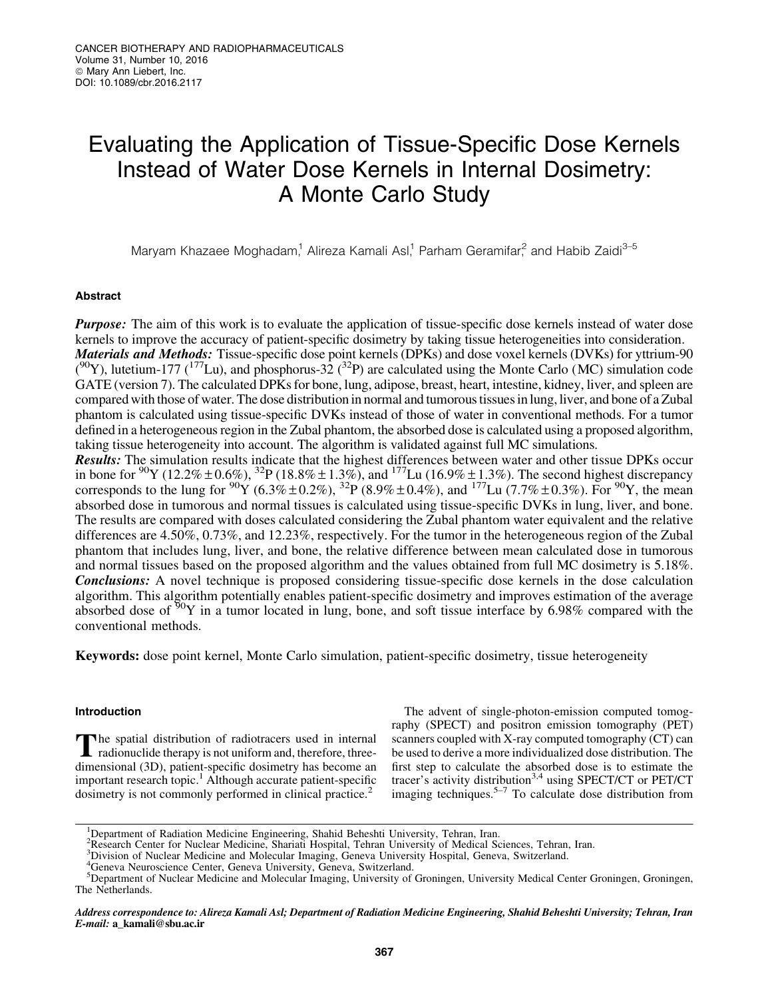# Evaluating the Application of Tissue-Specific Dose Kernels Instead of Water Dose Kernels in Internal Dosimetry: A Monte Carlo Study

Maryam Khazaee Moghadam,<sup>1</sup> Alireza Kamali Asl,<sup>1</sup> Parham Geramifar,<sup>2</sup> and Habib Zaidi<sup>3–5</sup>

# Abstract

**Purpose:** The aim of this work is to evaluate the application of tissue-specific dose kernels instead of water dose kernels to improve the accuracy of patient-specific dosimetry by taking tissue heterogeneities into consideration. Materials and Methods: Tissue-specific dose point kernels (DPKs) and dose voxel kernels (DVKs) for yttrium-90  $(^{90}Y)$ , lutetium-177 (<sup>177</sup>Lu), and phosphorus-32 (<sup>32</sup>P) are calculated using the Monte Carlo (MC) simulation code GATE (version 7). The calculated DPKs for bone, lung, adipose, breast, heart, intestine, kidney, liver, and spleen are compared with those of water. The dose distribution in normal and tumorous tissues in lung, liver, and bone of a Zubal phantom is calculated using tissue-specific DVKs instead of those of water in conventional methods. For a tumor defined in a heterogeneous region in the Zubal phantom, the absorbed dose is calculated using a proposed algorithm, taking tissue heterogeneity into account. The algorithm is validated against full MC simulations.

Results: The simulation results indicate that the highest differences between water and other tissue DPKs occur in bone for <sup>90</sup>Y (12.2% ± 0.6%), <sup>32</sup>P (18.8% ± 1.3%), and <sup>177</sup>Lu (16.9% ± 1.3%). The second highest discrepancy corresponds to the lung for  ${}^{90}Y(6.3\% \pm 0.2\%)$ ,  ${}^{32}P(8.9\% \pm 0.4\%)$ , and  ${}^{177}Lu(7.7\% \pm 0.3\%)$ . For  ${}^{90}Y$ , the mean absorbed dose in tumorous and normal tissues is calculated using tissue-specific DVKs in lung, liver, and bone. The results are compared with doses calculated considering the Zubal phantom water equivalent and the relative differences are 4.50%, 0.73%, and 12.23%, respectively. For the tumor in the heterogeneous region of the Zubal phantom that includes lung, liver, and bone, the relative difference between mean calculated dose in tumorous and normal tissues based on the proposed algorithm and the values obtained from full MC dosimetry is 5.18%. **Conclusions:** A novel technique is proposed considering tissue-specific dose kernels in the dose calculation algorithm. This algorithm potentially enables patient-specific dosimetry and improves estimation of the average absorbed dose of  $90Y$  in a tumor located in lung, bone, and soft tissue interface by 6.98% compared with the conventional methods.

Keywords: dose point kernel, Monte Carlo simulation, patient-specific dosimetry, tissue heterogeneity

# Introduction

The spatial distribution of radiotracers used in internal<br>radionuclide therapy is not uniform and, therefore, threedimensional (3D), patient-specific dosimetry has become an important research topic.<sup>1</sup> Although accurate patient-specific dosimetry is not commonly performed in clinical practice.<sup>2</sup>

The advent of single-photon-emission computed tomography (SPECT) and positron emission tomography (PET) scanners coupled with X-ray computed tomography (CT) can be used to derive a more individualized dose distribution. The first step to calculate the absorbed dose is to estimate the tracer's activity distribution<sup>3,4</sup> using SPECT/CT or PET/CT imaging techniques.<sup>5–7</sup> To calculate dose distribution from

<sup>&</sup>lt;sup>1</sup>Department of Radiation Medicine Engineering, Shahid Beheshti University, Tehran, Iran.

<sup>&</sup>lt;sup>2</sup>Research Center for Nuclear Medicine, Shariati Hospital, Tehran University of Medical Sciences, Tehran, Iran.

<sup>&</sup>lt;sup>3</sup>Division of Nuclear Medicine and Molecular Imaging, Geneva University Hospital, Geneva, Switzerland.

<sup>4</sup> Geneva Neuroscience Center, Geneva University, Geneva, Switzerland.

<sup>5</sup> Department of Nuclear Medicine and Molecular Imaging, University of Groningen, University Medical Center Groningen, Groningen, The Netherlands.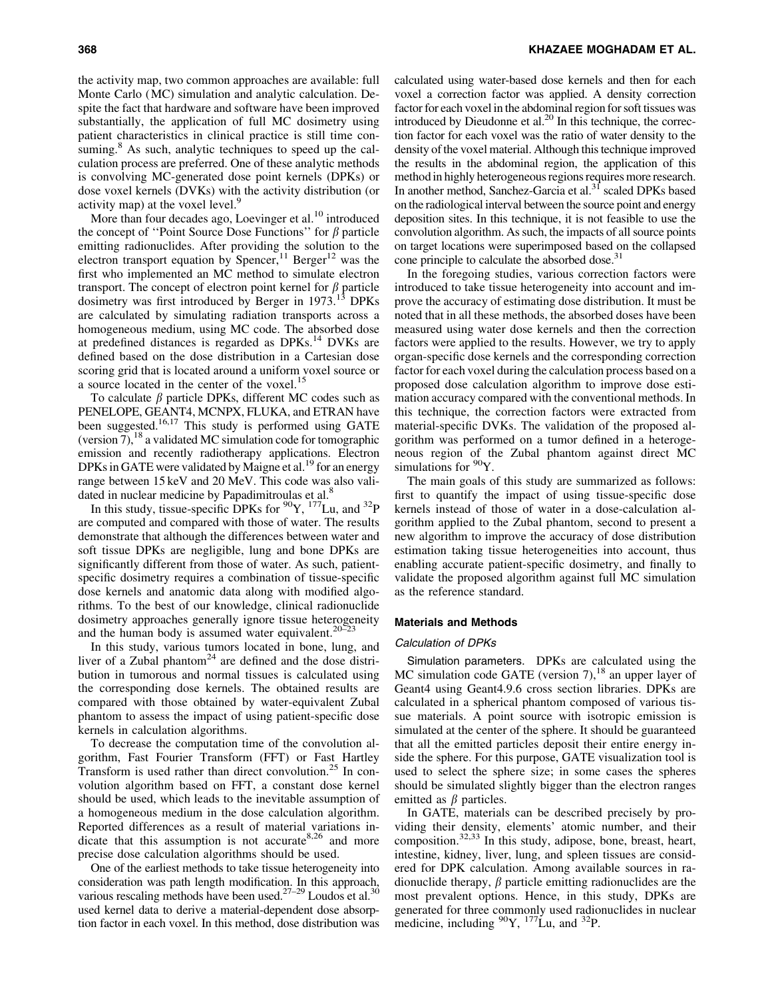the activity map, two common approaches are available: full Monte Carlo (MC) simulation and analytic calculation. Despite the fact that hardware and software have been improved substantially, the application of full MC dosimetry using patient characteristics in clinical practice is still time consuming.<sup>8</sup> As such, analytic techniques to speed up the calculation process are preferred. One of these analytic methods is convolving MC-generated dose point kernels (DPKs) or dose voxel kernels (DVKs) with the activity distribution (or activity map) at the voxel level.<sup>9</sup>

More than four decades ago, Loevinger et al.<sup>10</sup> introduced the concept of "Point Source Dose Functions" for  $\beta$  particle emitting radionuclides. After providing the solution to the electron transport equation by  $Spencer$ ,<sup>11</sup> Berger<sup>12</sup> was the first who implemented an MC method to simulate electron transport. The concept of electron point kernel for  $\beta$  particle dosimetry was first introduced by Berger in 1973.<sup>13</sup> DPKs are calculated by simulating radiation transports across a homogeneous medium, using MC code. The absorbed dose at predefined distances is regarded as DPKs.<sup>14</sup> DVKs are defined based on the dose distribution in a Cartesian dose scoring grid that is located around a uniform voxel source or a source located in the center of the voxel.<sup>15</sup>

To calculate  $\beta$  particle DPKs, different MC codes such as PENELOPE, GEANT4, MCNPX, FLUKA, and ETRAN have been suggested.<sup>16,17</sup> This study is performed using GATE (version 7),18 a validated MC simulation code for tomographic emission and recently radiotherapy applications. Electron DPKs in GATE were validated by Maigne et al.<sup>19</sup> for an energy range between 15 keV and 20 MeV. This code was also validated in nuclear medicine by Papadimitroulas et al.<sup>8</sup>

In this study, tissue-specific DPKs for  $90Y$ ,  $177$ Lu, and  $32P$ are computed and compared with those of water. The results demonstrate that although the differences between water and soft tissue DPKs are negligible, lung and bone DPKs are significantly different from those of water. As such, patientspecific dosimetry requires a combination of tissue-specific dose kernels and anatomic data along with modified algorithms. To the best of our knowledge, clinical radionuclide dosimetry approaches generally ignore tissue heterogeneity and the human body is assumed water equivalent.<sup>20–23</sup>

In this study, various tumors located in bone, lung, and liver of a Zubal phantom<sup>24</sup> are defined and the dose distribution in tumorous and normal tissues is calculated using the corresponding dose kernels. The obtained results are compared with those obtained by water-equivalent Zubal phantom to assess the impact of using patient-specific dose kernels in calculation algorithms.

To decrease the computation time of the convolution algorithm, Fast Fourier Transform (FFT) or Fast Hartley Transform is used rather than direct convolution.25 In convolution algorithm based on FFT, a constant dose kernel should be used, which leads to the inevitable assumption of a homogeneous medium in the dose calculation algorithm. Reported differences as a result of material variations indicate that this assumption is not accurate  $8.26$  and more precise dose calculation algorithms should be used.

One of the earliest methods to take tissue heterogeneity into consideration was path length modification. In this approach, various rescaling methods have been used. $27-29$  Loudos et al. $30$ used kernel data to derive a material-dependent dose absorption factor in each voxel. In this method, dose distribution was calculated using water-based dose kernels and then for each voxel a correction factor was applied. A density correction factor for each voxel in the abdominal region for soft tissues was introduced by Dieudonne et  $al^{20}$  In this technique, the correction factor for each voxel was the ratio of water density to the density of the voxel material. Although this technique improved the results in the abdominal region, the application of this method in highly heterogeneous regions requires more research. In another method, Sanchez-Garcia et al.<sup>31</sup> scaled DPKs based on the radiological interval between the source point and energy deposition sites. In this technique, it is not feasible to use the convolution algorithm. As such, the impacts of all source points on target locations were superimposed based on the collapsed cone principle to calculate the absorbed dose.<sup>31</sup>

In the foregoing studies, various correction factors were introduced to take tissue heterogeneity into account and improve the accuracy of estimating dose distribution. It must be noted that in all these methods, the absorbed doses have been measured using water dose kernels and then the correction factors were applied to the results. However, we try to apply organ-specific dose kernels and the corresponding correction factor for each voxel during the calculation process based on a proposed dose calculation algorithm to improve dose estimation accuracy compared with the conventional methods. In this technique, the correction factors were extracted from material-specific DVKs. The validation of the proposed algorithm was performed on a tumor defined in a heterogeneous region of the Zubal phantom against direct MC simulations for  $\rm{^{90}Y}$ .

The main goals of this study are summarized as follows: first to quantify the impact of using tissue-specific dose kernels instead of those of water in a dose-calculation algorithm applied to the Zubal phantom, second to present a new algorithm to improve the accuracy of dose distribution estimation taking tissue heterogeneities into account, thus enabling accurate patient-specific dosimetry, and finally to validate the proposed algorithm against full MC simulation as the reference standard.

### Materials and Methods

# Calculation of DPKs

Simulation parameters. DPKs are calculated using the MC simulation code GATE (version  $7$ ),<sup>18</sup> an upper layer of Geant4 using Geant4.9.6 cross section libraries. DPKs are calculated in a spherical phantom composed of various tissue materials. A point source with isotropic emission is simulated at the center of the sphere. It should be guaranteed that all the emitted particles deposit their entire energy inside the sphere. For this purpose, GATE visualization tool is used to select the sphere size; in some cases the spheres should be simulated slightly bigger than the electron ranges emitted as  $\beta$  particles.

In GATE, materials can be described precisely by providing their density, elements' atomic number, and their composition.32,33 In this study, adipose, bone, breast, heart, intestine, kidney, liver, lung, and spleen tissues are considered for DPK calculation. Among available sources in radionuclide therapy,  $\beta$  particle emitting radionuclides are the most prevalent options. Hence, in this study, DPKs are generated for three commonly used radionuclides in nuclear medicine, including  $^{90}Y$ ,  $^{177}Lu$ , and  $^{32}P$ .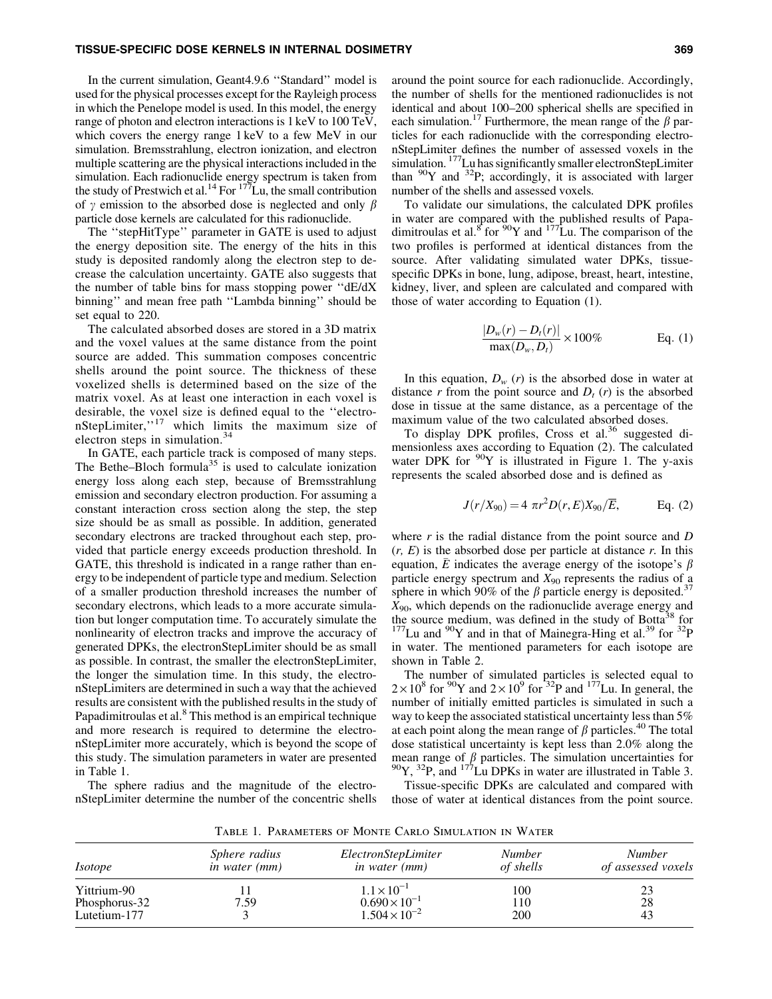In the current simulation, Geant4.9.6 ''Standard'' model is used for the physical processes except for the Rayleigh process in which the Penelope model is used. In this model, the energy range of photon and electron interactions is 1 keV to 100 TeV, which covers the energy range 1 keV to a few MeV in our simulation. Bremsstrahlung, electron ionization, and electron multiple scattering are the physical interactions included in the simulation. Each radionuclide energy spectrum is taken from the study of Prestwich et al.<sup>14</sup> For  $177\text{L}$ u, the small contribution of  $\gamma$  emission to the absorbed dose is neglected and only  $\beta$ particle dose kernels are calculated for this radionuclide.

The ''stepHitType'' parameter in GATE is used to adjust the energy deposition site. The energy of the hits in this study is deposited randomly along the electron step to decrease the calculation uncertainty. GATE also suggests that the number of table bins for mass stopping power ''dE/dX binning'' and mean free path ''Lambda binning'' should be set equal to 220.

The calculated absorbed doses are stored in a 3D matrix and the voxel values at the same distance from the point source are added. This summation composes concentric shells around the point source. The thickness of these voxelized shells is determined based on the size of the matrix voxel. As at least one interaction in each voxel is desirable, the voxel size is defined equal to the ''electronStepLimiter,"<sup>17</sup> which limits the maximum size of electron steps in simulation.<sup>34</sup>

In GATE, each particle track is composed of many steps. The Bethe–Bloch formula<sup>35</sup> is used to calculate ionization energy loss along each step, because of Bremsstrahlung emission and secondary electron production. For assuming a constant interaction cross section along the step, the step size should be as small as possible. In addition, generated secondary electrons are tracked throughout each step, provided that particle energy exceeds production threshold. In GATE, this threshold is indicated in a range rather than energy to be independent of particle type and medium. Selection of a smaller production threshold increases the number of secondary electrons, which leads to a more accurate simulation but longer computation time. To accurately simulate the nonlinearity of electron tracks and improve the accuracy of generated DPKs, the electronStepLimiter should be as small as possible. In contrast, the smaller the electronStepLimiter, the longer the simulation time. In this study, the electronStepLimiters are determined in such a way that the achieved results are consistent with the published results in the study of Papadimitroulas et al.<sup>8</sup> This method is an empirical technique and more research is required to determine the electronStepLimiter more accurately, which is beyond the scope of this study. The simulation parameters in water are presented in Table 1.

The sphere radius and the magnitude of the electronStepLimiter determine the number of the concentric shells around the point source for each radionuclide. Accordingly, the number of shells for the mentioned radionuclides is not identical and about 100–200 spherical shells are specified in each simulation.<sup>17</sup> Furthermore, the mean range of the  $\beta$  particles for each radionuclide with the corresponding electronStepLimiter defines the number of assessed voxels in the simulation. <sup>177</sup>Lu has significantly smaller electronStepLimiter than  $90Y$  and  $32P$ ; accordingly, it is associated with larger number of the shells and assessed voxels.

To validate our simulations, the calculated DPK profiles in water are compared with the published results of Papadimitroulas et al.<sup>8</sup> for <sup>90</sup>Y and <sup>177</sup>Lu. The comparison of the two profiles is performed at identical distances from the source. After validating simulated water DPKs, tissuespecific DPKs in bone, lung, adipose, breast, heart, intestine, kidney, liver, and spleen are calculated and compared with those of water according to Equation (1).

$$
\frac{|D_w(r) - D_t(r)|}{\max(D_w, D_t)} \times 100\%
$$
 Eq. (1)

In this equation,  $D_w(r)$  is the absorbed dose in water at distance *r* from the point source and  $D_t(r)$  is the absorbed dose in tissue at the same distance, as a percentage of the maximum value of the two calculated absorbed doses.

To display DPK profiles, Cross et al.<sup>36</sup> suggested dimensionless axes according to Equation (2). The calculated water DPK for  $90Y$  is illustrated in Figure 1. The y-axis represents the scaled absorbed dose and is defined as

$$
J(r/X_{90}) = 4 \pi r^2 D(r, E) X_{90}/\overline{E},
$$
 Eq. (2)

where *r* is the radial distance from the point source and *D* (*r, E*) is the absorbed dose per particle at distance *r.* In this equation,  $\bar{E}$  indicates the average energy of the isotope's  $\beta$ particle energy spectrum and  $X_{90}$  represents the radius of a sphere in which 90% of the  $\beta$  particle energy is deposited.<sup>37</sup>  $X_{90}$ , which depends on the radionuclide average energy and the source medium, was defined in the study of Botta<sup>38</sup> for  $177$ Lu and  $90$ Y and in that of Mainegra-Hing et al.<sup>39</sup> for  $32P$ in water. The mentioned parameters for each isotope are shown in Table 2.

The number of simulated particles is selected equal to  $2 \times 10^8$  for <sup>90</sup>Y and  $2 \times 10^9$  for <sup>32</sup>P and <sup>177</sup>Lu. In general, the number of initially emitted particles is simulated in such a way to keep the associated statistical uncertainty less than 5% at each point along the mean range of  $\beta$  particles.<sup>40</sup> The total dose statistical uncertainty is kept less than 2.0% along the mean range of  $\beta$  particles. The simulation uncertainties for  $90$ Y,  $32$ P, and  $177$ Lu DPKs in water are illustrated in Table 3.

Tissue-specific DPKs are calculated and compared with those of water at identical distances from the point source.

Table 1. Parameters of Monte Carlo Simulation in Water

| <i>Isotope</i> | <i>Sphere radius</i><br><i>in water (mm)</i> | ElectronStepLimiter<br><i>in water (mm)</i> | <b>Number</b><br>of shells | <b>Number</b><br>of assessed voxels |  |  |
|----------------|----------------------------------------------|---------------------------------------------|----------------------------|-------------------------------------|--|--|
| Yittrium-90    |                                              | $1.1 \times 10^{-1}$                        | 100                        | 23                                  |  |  |
| Phosphorus-32  | 7.59                                         | $0.690 \times 10^{-1}$                      | 110                        | 28                                  |  |  |
| Lutetium-177   |                                              | $1.504 \times 10^{-2}$                      | 200                        | 43                                  |  |  |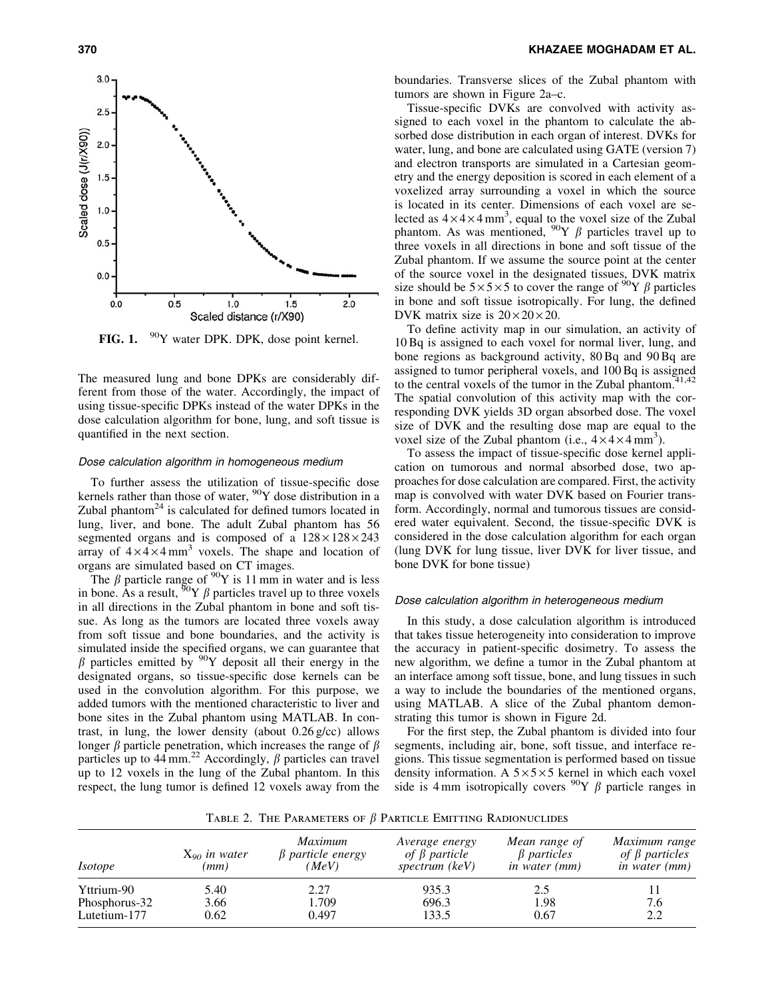

FIG. 1. <sup>90</sup>Y water DPK. DPK, dose point kernel.

The measured lung and bone DPKs are considerably different from those of the water. Accordingly, the impact of using tissue-specific DPKs instead of the water DPKs in the dose calculation algorithm for bone, lung, and soft tissue is quantified in the next section.

# Dose calculation algorithm in homogeneous medium

To further assess the utilization of tissue-specific dose kernels rather than those of water,  $90Y$  dose distribution in a Zubal phantom $^{24}$  is calculated for defined tumors located in lung, liver, and bone. The adult Zubal phantom has 56 segmented organs and is composed of a  $128 \times 128 \times 243$ array of  $4 \times 4 \times 4$  mm<sup>3</sup> voxels. The shape and location of organs are simulated based on CT images.

The  $\beta$  particle range of  $90Y$  is 11 mm in water and is less in bone. As a result,  $\frac{90}{9}$   $\gamma$   $\beta$  particles travel up to three voxels in all directions in the Zubal phantom in bone and soft tissue. As long as the tumors are located three voxels away from soft tissue and bone boundaries, and the activity is simulated inside the specified organs, we can guarantee that  $\beta$  particles emitted by <sup>90</sup>Y deposit all their energy in the designated organs, so tissue-specific dose kernels can be used in the convolution algorithm. For this purpose, we added tumors with the mentioned characteristic to liver and bone sites in the Zubal phantom using MATLAB. In contrast, in lung, the lower density (about 0.26 g/cc) allows longer  $\beta$  particle penetration, which increases the range of  $\beta$ particles up to 44 mm.<sup>22</sup> Accordingly,  $\beta$  particles can travel up to 12 voxels in the lung of the Zubal phantom. In this respect, the lung tumor is defined 12 voxels away from the boundaries. Transverse slices of the Zubal phantom with tumors are shown in Figure 2a–c.

Tissue-specific DVKs are convolved with activity assigned to each voxel in the phantom to calculate the absorbed dose distribution in each organ of interest. DVKs for water, lung, and bone are calculated using GATE (version 7) and electron transports are simulated in a Cartesian geometry and the energy deposition is scored in each element of a voxelized array surrounding a voxel in which the source is located in its center. Dimensions of each voxel are selected as  $4 \times 4 \times 4$  mm<sup>3</sup>, equal to the voxel size of the Zubal phantom. As was mentioned,  $90Y \beta$  particles travel up to three voxels in all directions in bone and soft tissue of the Zubal phantom. If we assume the source point at the center of the source voxel in the designated tissues, DVK matrix size should be  $5 \times 5 \times 5$  to cover the range of <sup>90</sup>Y  $\beta$  particles in bone and soft tissue isotropically. For lung, the defined DVK matrix size is  $20 \times 20 \times 20$ .

To define activity map in our simulation, an activity of 10 Bq is assigned to each voxel for normal liver, lung, and bone regions as background activity, 80 Bq and 90 Bq are assigned to tumor peripheral voxels, and 100 Bq is assigned to the central voxels of the tumor in the Zubal phantom. $41,42$ The spatial convolution of this activity map with the corresponding DVK yields 3D organ absorbed dose. The voxel size of DVK and the resulting dose map are equal to the voxel size of the Zubal phantom (i.e.,  $4 \times 4 \times 4$  mm<sup>3</sup>).

To assess the impact of tissue-specific dose kernel application on tumorous and normal absorbed dose, two approaches for dose calculation are compared. First, the activity map is convolved with water DVK based on Fourier transform. Accordingly, normal and tumorous tissues are considered water equivalent. Second, the tissue-specific DVK is considered in the dose calculation algorithm for each organ (lung DVK for lung tissue, liver DVK for liver tissue, and bone DVK for bone tissue)

#### Dose calculation algorithm in heterogeneous medium

In this study, a dose calculation algorithm is introduced that takes tissue heterogeneity into consideration to improve the accuracy in patient-specific dosimetry. To assess the new algorithm, we define a tumor in the Zubal phantom at an interface among soft tissue, bone, and lung tissues in such a way to include the boundaries of the mentioned organs, using MATLAB. A slice of the Zubal phantom demonstrating this tumor is shown in Figure 2d.

For the first step, the Zubal phantom is divided into four segments, including air, bone, soft tissue, and interface regions. This tissue segmentation is performed based on tissue density information. A  $5 \times 5 \times 5$  kernel in which each voxel side is 4 mm isotropically covers  $^{90}Y$   $\beta$  particle ranges in

TABLE 2. THE PARAMETERS OF  $\beta$  PARTICLE EMITTING RADIONUCLIDES

| <i>Isotope</i> | $X_{90}$ in water<br>(mm) | Maximum<br>$\beta$ particle energy<br>(MeV) | <i>Average energy</i><br>of $\beta$ particle<br>spectrum (keV) | Mean range of<br>$\beta$ particles<br><i>in water (mm)</i> | Maximum range<br>of $\beta$ particles<br><i>in water (mm)</i> |
|----------------|---------------------------|---------------------------------------------|----------------------------------------------------------------|------------------------------------------------------------|---------------------------------------------------------------|
| Yttrium-90     | 5.40                      | 2.27                                        | 935.3                                                          | 2.5                                                        |                                                               |
| Phosphorus-32  | 3.66                      | 1.709                                       | 696.3                                                          | 1.98                                                       | 7.6                                                           |
| Lutetium-177   | 0.62                      | 0.497                                       | 133.5                                                          | 0.67                                                       | 2.2                                                           |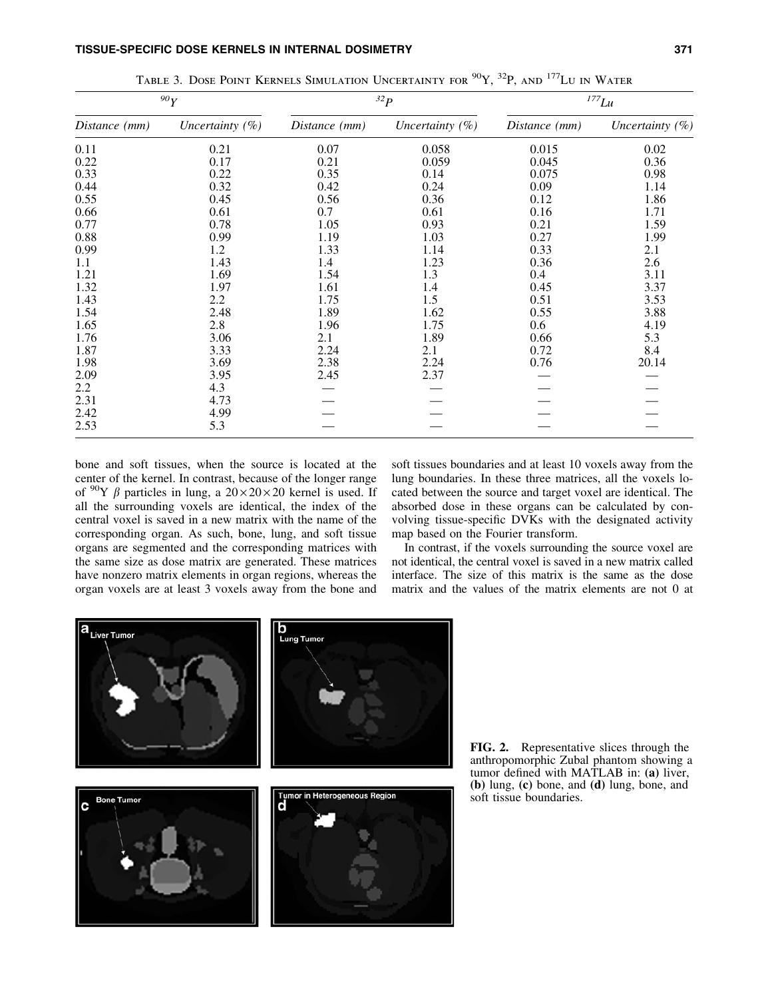| 90Y           |                    |               | 32p                | $^{177}$ Lu   |                    |
|---------------|--------------------|---------------|--------------------|---------------|--------------------|
| Distance (mm) | Uncertainty $(\%)$ | Distance (mm) | Uncertainty $(\%)$ | Distance (mm) | Uncertainty $(\%)$ |
| 0.11          | 0.21               | 0.07          | 0.058              | 0.015         | 0.02               |
| 0.22          | 0.17               | 0.21          | 0.059              | 0.045         | 0.36               |
| 0.33          | 0.22               | 0.35          | 0.14               | 0.075         | 0.98               |
| 0.44          | 0.32               | 0.42          | 0.24               | 0.09          | 1.14               |
| 0.55          | 0.45               | 0.56          | 0.36               | 0.12          | 1.86               |
| 0.66          | 0.61               | 0.7           | 0.61               | 0.16          | 1.71               |
| 0.77          | 0.78               | 1.05          | 0.93               | 0.21          | 1.59               |
| 0.88          | 0.99               | 1.19          | 1.03               | 0.27          | 1.99               |
| 0.99          | 1.2                | 1.33          | 1.14               | 0.33          | 2.1                |
| 1.1           | 1.43               | 1.4           | 1.23               | 0.36          | 2.6                |
| 1.21          | 1.69               | 1.54          | 1.3                | 0.4           | 3.11               |
| 1.32          | 1.97               | 1.61          | 1.4                | 0.45          | 3.37               |
| 1.43          | 2.2                | 1.75          | 1.5                | 0.51          | 3.53               |
| 1.54          | 2.48               | 1.89          | 1.62               | 0.55          | 3.88               |
| 1.65          | 2.8                | 1.96          | 1.75               | 0.6           | 4.19               |
| 1.76          | 3.06               | 2.1           | 1.89               | 0.66          | 5.3                |
| 1.87          | 3.33               | 2.24          | 2.1                | 0.72          | 8.4                |
| 1.98          | 3.69               | 2.38          | 2.24               | 0.76          | 20.14              |
| 2.09          | 3.95               | 2.45          | 2.37               |               |                    |
| 2.2           | 4.3                |               |                    |               |                    |
| 2.31          | 4.73               |               |                    |               |                    |
| 2.42          | 4.99               |               |                    |               |                    |
| 2.53          | 5.3                |               |                    |               |                    |

TABLE 3. DOSE POINT KERNELS SIMULATION UNCERTAINTY FOR <sup>90</sup>Y, <sup>32</sup>P, AND <sup>177</sup>LU IN WATER

bone and soft tissues, when the source is located at the center of the kernel. In contrast, because of the longer range of <sup>90</sup>Y  $\beta$  particles in lung, a 20×20×20 kernel is used. If all the surrounding voxels are identical, the index of the central voxel is saved in a new matrix with the name of the corresponding organ. As such, bone, lung, and soft tissue organs are segmented and the corresponding matrices with the same size as dose matrix are generated. These matrices have nonzero matrix elements in organ regions, whereas the organ voxels are at least 3 voxels away from the bone and soft tissues boundaries and at least 10 voxels away from the lung boundaries. In these three matrices, all the voxels located between the source and target voxel are identical. The absorbed dose in these organs can be calculated by convolving tissue-specific DVKs with the designated activity map based on the Fourier transform.

In contrast, if the voxels surrounding the source voxel are not identical, the central voxel is saved in a new matrix called interface. The size of this matrix is the same as the dose matrix and the values of the matrix elements are not 0 at



FIG. 2. Representative slices through the anthropomorphic Zubal phantom showing a tumor defined with MATLAB in: (a) liver, (b) lung, (c) bone, and (d) lung, bone, and soft tissue boundaries.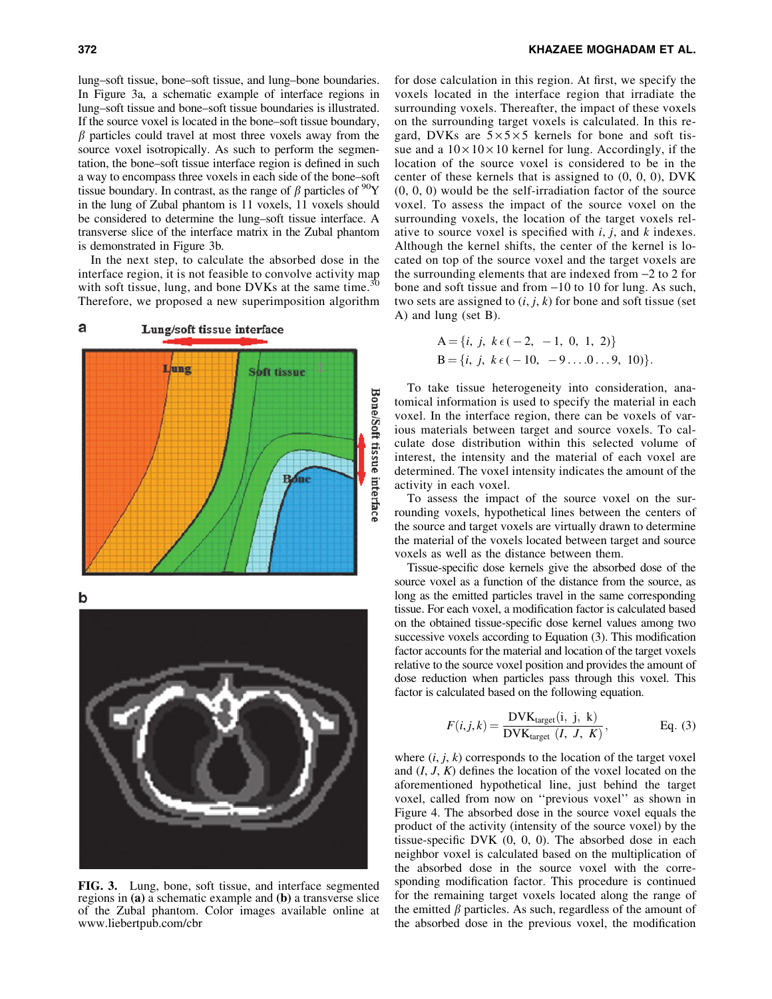lung–soft tissue, bone–soft tissue, and lung–bone boundaries. In Figure 3a, a schematic example of interface regions in lung–soft tissue and bone–soft tissue boundaries is illustrated. If the source voxel is located in the bone–soft tissue boundary,  $\beta$  particles could travel at most three voxels away from the source voxel isotropically. As such to perform the segmentation, the bone–soft tissue interface region is defined in such a way to encompass three voxels in each side of the bone–soft tissue boundary. In contrast, as the range of  $\beta$  particles of <sup>90</sup>Y in the lung of Zubal phantom is 11 voxels, 11 voxels should be considered to determine the lung–soft tissue interface. A transverse slice of the interface matrix in the Zubal phantom is demonstrated in Figure 3b.

In the next step, to calculate the absorbed dose in the interface region, it is not feasible to convolve activity map with soft tissue, lung, and bone DVKs at the same time.<sup>30</sup> Therefore, we proposed a new superimposition algorithm

#### a Lung/soft tissue interface



b



FIG. 3. Lung, bone, soft tissue, and interface segmented regions in (a) a schematic example and (b) a transverse slice of the Zubal phantom. Color images available online at www.liebertpub.com/cbr

for dose calculation in this region. At first, we specify the voxels located in the interface region that irradiate the surrounding voxels. Thereafter, the impact of these voxels on the surrounding target voxels is calculated. In this regard, DVKs are  $5 \times 5 \times 5$  kernels for bone and soft tissue and a  $10 \times 10 \times 10$  kernel for lung. Accordingly, if the location of the source voxel is considered to be in the center of these kernels that is assigned to (0, 0, 0), DVK (0, 0, 0) would be the self-irradiation factor of the source voxel. To assess the impact of the source voxel on the surrounding voxels, the location of the target voxels relative to source voxel is specified with *i*, *j*, and *k* indexes. Although the kernel shifts, the center of the kernel is located on top of the source voxel and the target voxels are the surrounding elements that are indexed from  $-2$  to 2 for bone and soft tissue and from -10 to 10 for lung. As such, two sets are assigned to  $(i, j, k)$  for bone and soft tissue (set A) and lung (set B).

$$
A = \{i, j, k\epsilon(-2, -1, 0, 1, 2)\}
$$
  
B = \{i, j, k\epsilon(-10, -9...0...9, 10)\}.

To take tissue heterogeneity into consideration, anatomical information is used to specify the material in each voxel. In the interface region, there can be voxels of various materials between target and source voxels. To calculate dose distribution within this selected volume of interest, the intensity and the material of each voxel are determined. The voxel intensity indicates the amount of the activity in each voxel.

To assess the impact of the source voxel on the surrounding voxels, hypothetical lines between the centers of the source and target voxels are virtually drawn to determine the material of the voxels located between target and source voxels as well as the distance between them.

Tissue-specific dose kernels give the absorbed dose of the source voxel as a function of the distance from the source, as long as the emitted particles travel in the same corresponding tissue. For each voxel, a modification factor is calculated based on the obtained tissue-specific dose kernel values among two successive voxels according to Equation (3). This modification factor accounts for the material and location of the target voxels relative to the source voxel position and provides the amount of dose reduction when particles pass through this voxel. This factor is calculated based on the following equation.

$$
F(i,j,k) = \frac{\text{DVK}_{\text{target}}(i, j, k)}{\text{DVK}_{\text{target}}(I, J, K)},
$$
 Eq. (3)

where  $(i, j, k)$  corresponds to the location of the target voxel and (*I*, *J*, *K*) defines the location of the voxel located on the aforementioned hypothetical line, just behind the target voxel, called from now on ''previous voxel'' as shown in Figure 4. The absorbed dose in the source voxel equals the product of the activity (intensity of the source voxel) by the tissue-specific DVK (0, 0, 0). The absorbed dose in each neighbor voxel is calculated based on the multiplication of the absorbed dose in the source voxel with the corresponding modification factor. This procedure is continued for the remaining target voxels located along the range of the emitted  $\beta$  particles. As such, regardless of the amount of the absorbed dose in the previous voxel, the modification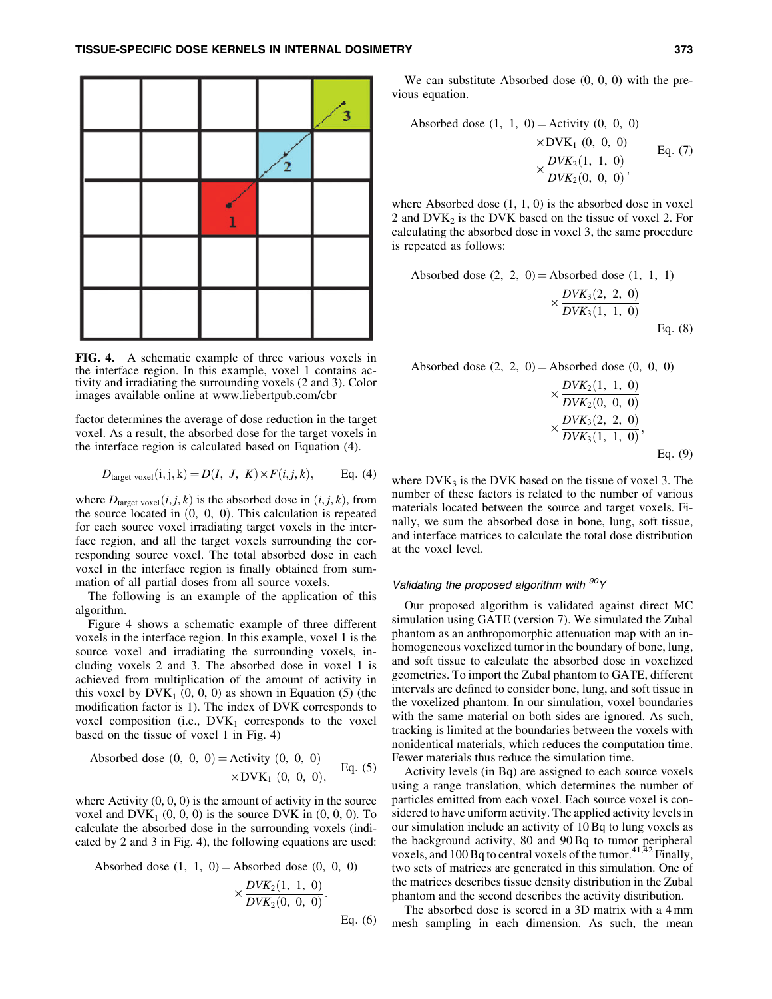

FIG. 4. A schematic example of three various voxels in the interface region. In this example, voxel 1 contains activity and irradiating the surrounding voxels (2 and 3). Color images available online at www.liebertpub.com/cbr

factor determines the average of dose reduction in the target voxel. As a result, the absorbed dose for the target voxels in the interface region is calculated based on Equation (4).

$$
Dtarget voxel(i, j, k) = D(I, J, K) \times F(i, j, k), \qquad Eq. (4)
$$

where  $D_{\text{target voxel}}(i, j, k)$  is the absorbed dose in  $(i, j, k)$ , from the source located in  $(0, 0, 0)$ . This calculation is repeated for each source voxel irradiating target voxels in the interface region, and all the target voxels surrounding the corresponding source voxel. The total absorbed dose in each voxel in the interface region is finally obtained from summation of all partial doses from all source voxels.

The following is an example of the application of this algorithm.

Figure 4 shows a schematic example of three different voxels in the interface region. In this example, voxel 1 is the source voxel and irradiating the surrounding voxels, including voxels 2 and 3. The absorbed dose in voxel 1 is achieved from multiplication of the amount of activity in this voxel by  $DVK_1$   $(0, 0, 0)$  as shown in Equation  $(5)$  (the modification factor is 1). The index of DVK corresponds to voxel composition (i.e.,  $DVK_1$  corresponds to the voxel based on the tissue of voxel 1 in Fig. 4)

Absorbed dose 0, 0, 0 ð Þ¼ Activity 0, 0, 0 ð Þ · DVK1 ð Þ 0, 0, 0 ; Eq: (5)

where Activity  $(0, 0, 0)$  is the amount of activity in the source voxel and  $DVK_1$   $(0, 0, 0)$  is the source DVK in  $(0, 0, 0)$ . To calculate the absorbed dose in the surrounding voxels (indicated by 2 and 3 in Fig. 4), the following equations are used:

Absorbed dose (1, 1, 0) = Absorbed dose (0, 0, 0)  

$$
\times \frac{DVK_2(1, 1, 0)}{DVK_2(0, 0, 0)}.
$$
Eq. (6)

We can substitute Absorbed dose (0, 0, 0) with the previous equation.

Absorbed dose (1, 1, 0) = Activity (0, 0, 0)  
\n×DVK<sub>1</sub> (0, 0, 0)  
\n×
$$
\frac{DVK_2(1, 1, 0)}{DVK_2(0, 0, 0)}
$$
, Eq. (7)

where Absorbed dose (1, 1, 0) is the absorbed dose in voxel 2 and  $DVK<sub>2</sub>$  is the DVK based on the tissue of voxel 2. For calculating the absorbed dose in voxel 3, the same procedure is repeated as follows:

Absorbed dose (2, 2, 0) = Absorbed dose (1, 1, 1)  

$$
\times \frac{DVK_3(2, 2, 0)}{DVK_3(1, 1, 0)}
$$
Eq. (8)

Absorbed dose  $(2, 2, 0) =$ Absorbed dose  $(0, 0, 0)$ 

$$
\times \frac{DVK_2(1, 1, 0)}{DVK_2(0, 0, 0)}
$$
  
 
$$
\times \frac{DVK_3(2, 2, 0)}{DVK_3(1, 1, 0)},
$$
 Eq. (9)

where  $DVK_3$  is the DVK based on the tissue of voxel 3. The number of these factors is related to the number of various materials located between the source and target voxels. Finally, we sum the absorbed dose in bone, lung, soft tissue, and interface matrices to calculate the total dose distribution at the voxel level.

# Validating the proposed algorithm with  $^{90}Y$

Our proposed algorithm is validated against direct MC simulation using GATE (version 7). We simulated the Zubal phantom as an anthropomorphic attenuation map with an inhomogeneous voxelized tumor in the boundary of bone, lung, and soft tissue to calculate the absorbed dose in voxelized geometries. To import the Zubal phantom to GATE, different intervals are defined to consider bone, lung, and soft tissue in the voxelized phantom. In our simulation, voxel boundaries with the same material on both sides are ignored. As such, tracking is limited at the boundaries between the voxels with nonidentical materials, which reduces the computation time. Fewer materials thus reduce the simulation time.

Activity levels (in Bq) are assigned to each source voxels using a range translation, which determines the number of particles emitted from each voxel. Each source voxel is considered to have uniform activity. The applied activity levels in our simulation include an activity of 10 Bq to lung voxels as the background activity, 80 and 90 Bq to tumor peripheral voxels, and 100 Bq to central voxels of the tumor.<sup>41,42</sup> Finally, two sets of matrices are generated in this simulation. One of the matrices describes tissue density distribution in the Zubal phantom and the second describes the activity distribution.

The absorbed dose is scored in a 3D matrix with a 4 mm mesh sampling in each dimension. As such, the mean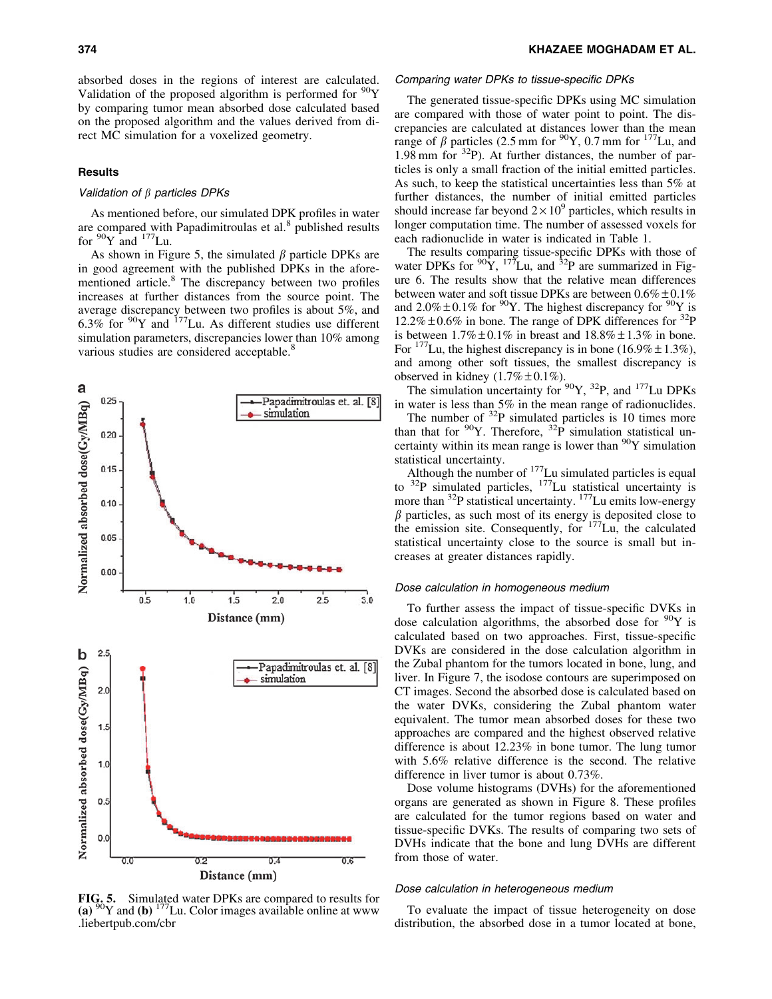absorbed doses in the regions of interest are calculated. Validation of the proposed algorithm is performed for  $^{90}Y$ by comparing tumor mean absorbed dose calculated based on the proposed algorithm and the values derived from direct MC simulation for a voxelized geometry.

#### **Results**

### Validation of  $\beta$  particles DPKs

As mentioned before, our simulated DPK profiles in water are compared with Papadimitroulas et al.<sup>8</sup> published results for  $90Y$  and  $177$ Lu.

As shown in Figure 5, the simulated  $\beta$  particle DPKs are in good agreement with the published DPKs in the aforementioned article.<sup>8</sup> The discrepancy between two profiles increases at further distances from the source point. The average discrepancy between two profiles is about 5%, and 6.3% for  $90Y$  and  $177$ Lu. As different studies use different simulation parameters, discrepancies lower than 10% among various studies are considered acceptable.<sup>8</sup>



FIG. 5. Simulated water DPKs are compared to results for (a)  $90Y$  and (b)  $177$ Lu. Color images available online at www .liebertpub.com/cbr

#### Comparing water DPKs to tissue-specific DPKs

The generated tissue-specific DPKs using MC simulation are compared with those of water point to point. The discrepancies are calculated at distances lower than the mean range of  $\beta$  particles (2.5 mm for  $^{90}Y$ , 0.7 mm for  $^{177}Lu$ , and 1.98 mm for  $32P$ ). At further distances, the number of particles is only a small fraction of the initial emitted particles. As such, to keep the statistical uncertainties less than 5% at further distances, the number of initial emitted particles should increase far beyond  $2 \times 10^9$  particles, which results in longer computation time. The number of assessed voxels for each radionuclide in water is indicated in Table 1.

The results comparing tissue-specific DPKs with those of water DPKs for  ${}^{90}Y$ ,  ${}^{177}Lu$ , and  ${}^{32}P$  are summarized in Figure 6. The results show that the relative mean differences between water and soft tissue DPKs are between  $0.6\% \pm 0.1\%$ and 2.0%  $\pm$  0.1% for <sup>90</sup>Y. The highest discrepancy for <sup>90</sup>Y is  $12.2\% \pm 0.6\%$  in bone. The range of DPK differences for  $^{32}P$ is between  $1.7\% \pm 0.1\%$  in breast and  $18.8\% \pm 1.3\%$  in bone. For  $177$ Lu, the highest discrepancy is in bone (16.9%  $\pm$  1.3%), and among other soft tissues, the smallest discrepancy is observed in kidney  $(1.7\% \pm 0.1\%)$ .

The simulation uncertainty for  ${}^{90}Y$ ,  ${}^{32}P$ , and  ${}^{177}Lu$  DPKs in water is less than 5% in the mean range of radionuclides. The number of  $32P$  simulated particles is 10 times more than that for  $90Y$ . Therefore,  $32\overrightarrow{P}$  simulation statistical uncertainty within its mean range is lower than  $90Y$  simulation statistical uncertainty.

Although the number of  $177$ Lu simulated particles is equal to  $32P$  simulated particles,  $177$ Lu statistical uncertainty is more than <sup>32</sup>P statistical uncertainty. <sup>177</sup>Lu emits low-energy  $\beta$  particles, as such most of its energy is deposited close to the emission site. Consequently, for  $177$ Lu, the calculated statistical uncertainty close to the source is small but increases at greater distances rapidly.

#### Dose calculation in homogeneous medium

To further assess the impact of tissue-specific DVKs in dose calculation algorithms, the absorbed dose for  $90Y$  is calculated based on two approaches. First, tissue-specific DVKs are considered in the dose calculation algorithm in the Zubal phantom for the tumors located in bone, lung, and liver. In Figure 7, the isodose contours are superimposed on CT images. Second the absorbed dose is calculated based on the water DVKs, considering the Zubal phantom water equivalent. The tumor mean absorbed doses for these two approaches are compared and the highest observed relative difference is about 12.23% in bone tumor. The lung tumor with 5.6% relative difference is the second. The relative difference in liver tumor is about 0.73%.

Dose volume histograms (DVHs) for the aforementioned organs are generated as shown in Figure 8. These profiles are calculated for the tumor regions based on water and tissue-specific DVKs. The results of comparing two sets of DVHs indicate that the bone and lung DVHs are different from those of water.

#### Dose calculation in heterogeneous medium

To evaluate the impact of tissue heterogeneity on dose distribution, the absorbed dose in a tumor located at bone,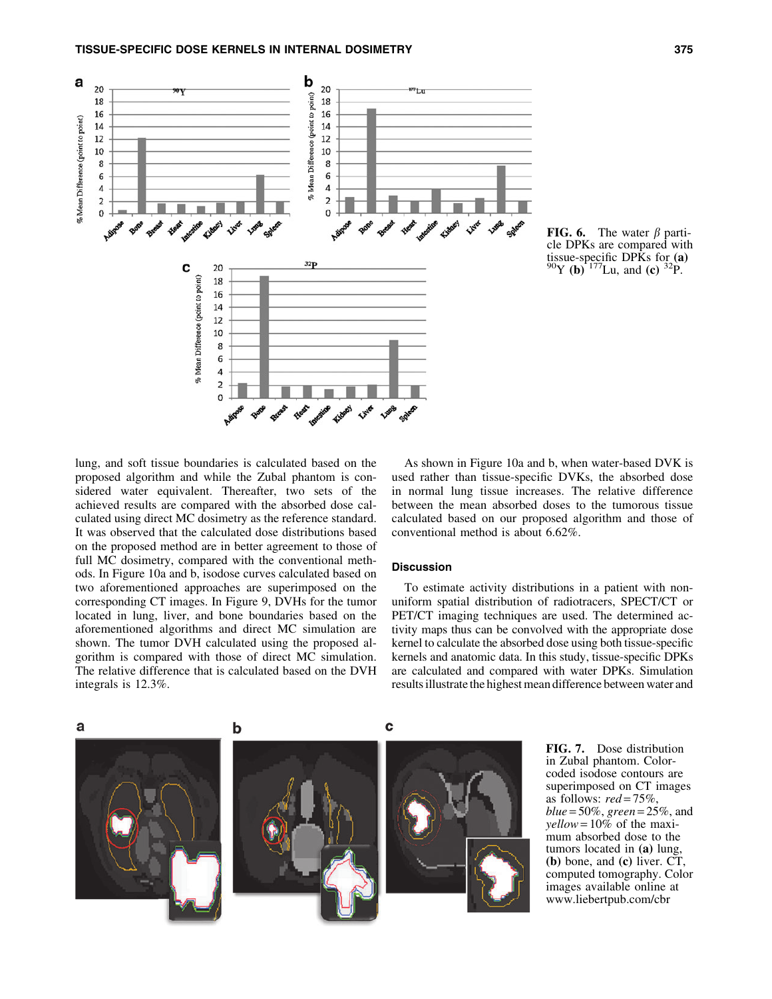

**FIG. 6.** The water  $\beta$  particle DPKs are compared with tissue-specific DPKs for (a)  $^{90}Y$  (b)  $^{177}Lu$ , and (c)  $^{32}P$ .

lung, and soft tissue boundaries is calculated based on the proposed algorithm and while the Zubal phantom is considered water equivalent. Thereafter, two sets of the achieved results are compared with the absorbed dose calculated using direct MC dosimetry as the reference standard. It was observed that the calculated dose distributions based on the proposed method are in better agreement to those of full MC dosimetry, compared with the conventional methods. In Figure 10a and b, isodose curves calculated based on two aforementioned approaches are superimposed on the corresponding CT images. In Figure 9, DVHs for the tumor located in lung, liver, and bone boundaries based on the aforementioned algorithms and direct MC simulation are shown. The tumor DVH calculated using the proposed algorithm is compared with those of direct MC simulation. The relative difference that is calculated based on the DVH integrals is 12.3%.

a

As shown in Figure 10a and b, when water-based DVK is used rather than tissue-specific DVKs, the absorbed dose in normal lung tissue increases. The relative difference between the mean absorbed doses to the tumorous tissue calculated based on our proposed algorithm and those of conventional method is about 6.62%.

# Discussion

C

To estimate activity distributions in a patient with nonuniform spatial distribution of radiotracers, SPECT/CT or PET/CT imaging techniques are used. The determined activity maps thus can be convolved with the appropriate dose kernel to calculate the absorbed dose using both tissue-specific kernels and anatomic data. In this study, tissue-specific DPKs are calculated and compared with water DPKs. Simulation results illustrate the highest mean difference between water and



FIG. 7. Dose distribution in Zubal phantom. Colorcoded isodose contours are superimposed on CT images as follows: *red* = 75%, *blue* = 50%, *green* = 25%, and *yellow* =  $10\%$  of the maximum absorbed dose to the tumors located in (a) lung, (b) bone, and (c) liver. CT, computed tomography. Color images available online at www.liebertpub.com/cbr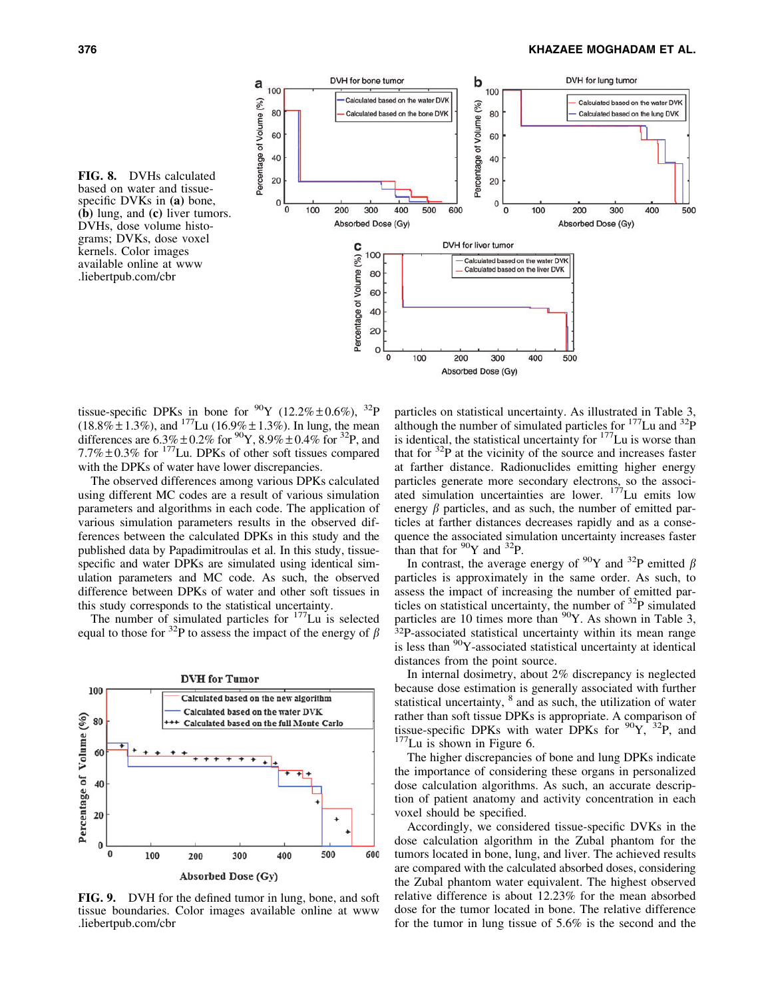

FIG. 8. DVHs calculated based on water and tissuespecific DVKs in (a) bone,  $(b)$  lung, and  $(c)$  liver tumors. DVHs, dose volume histograms; DVKs, dose voxel kernels. Color images available online at www .liebertpub.com/cbr

tissue-specific DPKs in bone for  $^{90}Y$  (12.2%  $\pm$  0.6%),  $^{32}P$  $(18.8\% \pm 1.3\%)$ , and  $177$ Lu  $(16.9\% \pm 1.3\%)$ . In lung, the mean differences are  $6.3\% \pm 0.2\%$  for  ${}^{90}Y$ ,  $8.9\% \pm 0.4\%$  for  ${}^{32}P$ , and 7.7%  $\pm$  0.3% for  $177$ Lu. DPKs of other soft tissues compared with the DPKs of water have lower discrepancies.

The observed differences among various DPKs calculated using different MC codes are a result of various simulation parameters and algorithms in each code. The application of various simulation parameters results in the observed differences between the calculated DPKs in this study and the published data by Papadimitroulas et al. In this study, tissuespecific and water DPKs are simulated using identical simulation parameters and MC code. As such, the observed difference between DPKs of water and other soft tissues in this study corresponds to the statistical uncertainty.

The number of simulated particles for  $177$ Lu is selected equal to those for  $3^{2}P$  to assess the impact of the energy of  $\beta$ 



FIG. 9. DVH for the defined tumor in lung, bone, and soft tissue boundaries. Color images available online at www .liebertpub.com/cbr

particles on statistical uncertainty. As illustrated in Table 3, although the number of simulated particles for  $^{177}$ Lu and  $^{32}P$ is identical, the statistical uncertainty for <sup>177</sup>Lu is worse than that for  $32P$  at the vicinity of the source and increases faster at farther distance. Radionuclides emitting higher energy particles generate more secondary electrons, so the associated simulation uncertainties are lower.  $177$  Lu emits low energy  $\beta$  particles, and as such, the number of emitted particles at farther distances decreases rapidly and as a consequence the associated simulation uncertainty increases faster than that for  $90Y$  and  $32P$ .

In contrast, the average energy of  $^{90}Y$  and  $^{32}P$  emitted  $\beta$ particles is approximately in the same order. As such, to assess the impact of increasing the number of emitted particles on statistical uncertainty, the number of 32P simulated particles are 10 times more than  $90Y$ . As shown in Table 3, 32P-associated statistical uncertainty within its mean range is less than 90Y-associated statistical uncertainty at identical distances from the point source.

In internal dosimetry, about 2% discrepancy is neglected because dose estimation is generally associated with further statistical uncertainty,  $8$  and as such, the utilization of water rather than soft tissue DPKs is appropriate. A comparison of tissue-specific DPKs with water DPKs for  $90Y$ ,  $32P$ , and  $177$ Lu is shown in Figure 6.

The higher discrepancies of bone and lung DPKs indicate the importance of considering these organs in personalized dose calculation algorithms. As such, an accurate description of patient anatomy and activity concentration in each voxel should be specified.

Accordingly, we considered tissue-specific DVKs in the dose calculation algorithm in the Zubal phantom for the tumors located in bone, lung, and liver. The achieved results are compared with the calculated absorbed doses, considering the Zubal phantom water equivalent. The highest observed relative difference is about 12.23% for the mean absorbed dose for the tumor located in bone. The relative difference for the tumor in lung tissue of 5.6% is the second and the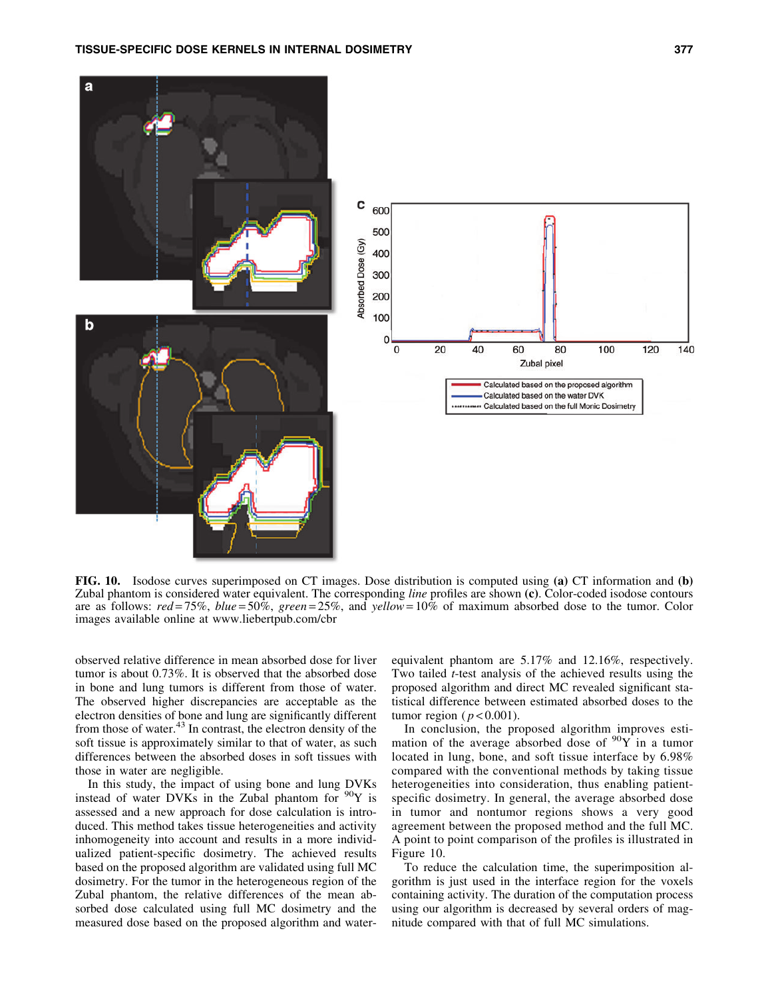

FIG. 10. Isodose curves superimposed on CT images. Dose distribution is computed using (a) CT information and (b) Zubal phantom is considered water equivalent. The corresponding *line* profiles are shown (c). Color-coded isodose contours are as follows: *red* = 75%, *blue* = 50%, *green* = 25%, and *yellow*= 10% of maximum absorbed dose to the tumor. Color images available online at www.liebertpub.com/cbr

observed relative difference in mean absorbed dose for liver tumor is about 0.73%. It is observed that the absorbed dose in bone and lung tumors is different from those of water. The observed higher discrepancies are acceptable as the electron densities of bone and lung are significantly different from those of water. $43$  In contrast, the electron density of the soft tissue is approximately similar to that of water, as such differences between the absorbed doses in soft tissues with those in water are negligible.

In this study, the impact of using bone and lung DVKs instead of water DVKs in the Zubal phantom for  $90Y$  is assessed and a new approach for dose calculation is introduced. This method takes tissue heterogeneities and activity inhomogeneity into account and results in a more individualized patient-specific dosimetry. The achieved results based on the proposed algorithm are validated using full MC dosimetry. For the tumor in the heterogeneous region of the Zubal phantom, the relative differences of the mean absorbed dose calculated using full MC dosimetry and the measured dose based on the proposed algorithm and waterequivalent phantom are 5.17% and 12.16%, respectively. Two tailed *t*-test analysis of the achieved results using the proposed algorithm and direct MC revealed significant statistical difference between estimated absorbed doses to the tumor region ( $p < 0.001$ ).

In conclusion, the proposed algorithm improves estimation of the average absorbed dose of  $90Y$  in a tumor located in lung, bone, and soft tissue interface by 6.98% compared with the conventional methods by taking tissue heterogeneities into consideration, thus enabling patientspecific dosimetry. In general, the average absorbed dose in tumor and nontumor regions shows a very good agreement between the proposed method and the full MC. A point to point comparison of the profiles is illustrated in Figure 10.

To reduce the calculation time, the superimposition algorithm is just used in the interface region for the voxels containing activity. The duration of the computation process using our algorithm is decreased by several orders of magnitude compared with that of full MC simulations.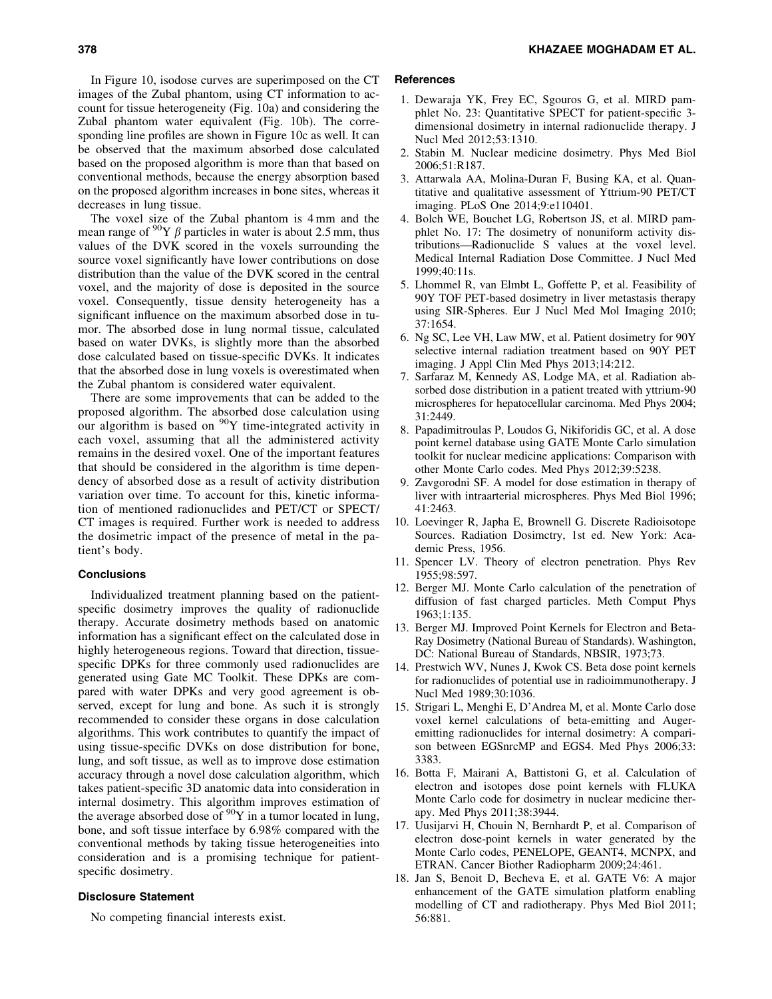In Figure 10, isodose curves are superimposed on the CT images of the Zubal phantom, using CT information to account for tissue heterogeneity (Fig. 10a) and considering the Zubal phantom water equivalent (Fig. 10b). The corresponding line profiles are shown in Figure 10c as well. It can be observed that the maximum absorbed dose calculated based on the proposed algorithm is more than that based on conventional methods, because the energy absorption based on the proposed algorithm increases in bone sites, whereas it decreases in lung tissue.

The voxel size of the Zubal phantom is 4 mm and the mean range of  $^{90}Y \beta$  particles in water is about 2.5 mm, thus values of the DVK scored in the voxels surrounding the source voxel significantly have lower contributions on dose distribution than the value of the DVK scored in the central voxel, and the majority of dose is deposited in the source voxel. Consequently, tissue density heterogeneity has a significant influence on the maximum absorbed dose in tumor. The absorbed dose in lung normal tissue, calculated based on water DVKs, is slightly more than the absorbed dose calculated based on tissue-specific DVKs. It indicates that the absorbed dose in lung voxels is overestimated when the Zubal phantom is considered water equivalent.

There are some improvements that can be added to the proposed algorithm. The absorbed dose calculation using our algorithm is based on  $90Y$  time-integrated activity in each voxel, assuming that all the administered activity remains in the desired voxel. One of the important features that should be considered in the algorithm is time dependency of absorbed dose as a result of activity distribution variation over time. To account for this, kinetic information of mentioned radionuclides and PET/CT or SPECT/ CT images is required. Further work is needed to address the dosimetric impact of the presence of metal in the patient's body.

# **Conclusions**

Individualized treatment planning based on the patientspecific dosimetry improves the quality of radionuclide therapy. Accurate dosimetry methods based on anatomic information has a significant effect on the calculated dose in highly heterogeneous regions. Toward that direction, tissuespecific DPKs for three commonly used radionuclides are generated using Gate MC Toolkit. These DPKs are compared with water DPKs and very good agreement is observed, except for lung and bone. As such it is strongly recommended to consider these organs in dose calculation algorithms. This work contributes to quantify the impact of using tissue-specific DVKs on dose distribution for bone, lung, and soft tissue, as well as to improve dose estimation accuracy through a novel dose calculation algorithm, which takes patient-specific 3D anatomic data into consideration in internal dosimetry. This algorithm improves estimation of the average absorbed dose of  $^{90}Y$  in a tumor located in lung, bone, and soft tissue interface by 6.98% compared with the conventional methods by taking tissue heterogeneities into consideration and is a promising technique for patientspecific dosimetry.

# Disclosure Statement

No competing financial interests exist.

# **References**

- 1. Dewaraja YK, Frey EC, Sgouros G, et al. MIRD pamphlet No. 23: Quantitative SPECT for patient-specific 3 dimensional dosimetry in internal radionuclide therapy. J Nucl Med 2012;53:1310.
- 2. Stabin M. Nuclear medicine dosimetry. Phys Med Biol 2006;51:R187.
- 3. Attarwala AA, Molina-Duran F, Busing KA, et al. Quantitative and qualitative assessment of Yttrium-90 PET/CT imaging. PLoS One 2014;9:e110401.
- 4. Bolch WE, Bouchet LG, Robertson JS, et al. MIRD pamphlet No. 17: The dosimetry of nonuniform activity distributions—Radionuclide S values at the voxel level. Medical Internal Radiation Dose Committee. J Nucl Med 1999;40:11s.
- 5. Lhommel R, van Elmbt L, Goffette P, et al. Feasibility of 90Y TOF PET-based dosimetry in liver metastasis therapy using SIR-Spheres. Eur J Nucl Med Mol Imaging 2010; 37:1654.
- 6. Ng SC, Lee VH, Law MW, et al. Patient dosimetry for 90Y selective internal radiation treatment based on 90Y PET imaging. J Appl Clin Med Phys 2013;14:212.
- 7. Sarfaraz M, Kennedy AS, Lodge MA, et al. Radiation absorbed dose distribution in a patient treated with yttrium-90 microspheres for hepatocellular carcinoma. Med Phys 2004; 31:2449.
- 8. Papadimitroulas P, Loudos G, Nikiforidis GC, et al. A dose point kernel database using GATE Monte Carlo simulation toolkit for nuclear medicine applications: Comparison with other Monte Carlo codes. Med Phys 2012;39:5238.
- 9. Zavgorodni SF. A model for dose estimation in therapy of liver with intraarterial microspheres. Phys Med Biol 1996; 41:2463.
- 10. Loevinger R, Japha E, Brownell G. Discrete Radioisotope Sources. Radiation Dosimctry, 1st ed. New York: Academic Press, 1956.
- 11. Spencer LV. Theory of electron penetration. Phys Rev 1955;98:597.
- 12. Berger MJ. Monte Carlo calculation of the penetration of diffusion of fast charged particles. Meth Comput Phys 1963;1:135.
- 13. Berger MJ. Improved Point Kernels for Electron and Beta-Ray Dosimetry (National Bureau of Standards). Washington, DC: National Bureau of Standards, NBSIR, 1973;73.
- 14. Prestwich WV, Nunes J, Kwok CS. Beta dose point kernels for radionuclides of potential use in radioimmunotherapy. J Nucl Med 1989;30:1036.
- 15. Strigari L, Menghi E, D'Andrea M, et al. Monte Carlo dose voxel kernel calculations of beta-emitting and Augeremitting radionuclides for internal dosimetry: A comparison between EGSnrcMP and EGS4. Med Phys 2006;33: 3383.
- 16. Botta F, Mairani A, Battistoni G, et al. Calculation of electron and isotopes dose point kernels with FLUKA Monte Carlo code for dosimetry in nuclear medicine therapy. Med Phys 2011;38:3944.
- 17. Uusijarvi H, Chouin N, Bernhardt P, et al. Comparison of electron dose-point kernels in water generated by the Monte Carlo codes, PENELOPE, GEANT4, MCNPX, and ETRAN. Cancer Biother Radiopharm 2009;24:461.
- 18. Jan S, Benoit D, Becheva E, et al. GATE V6: A major enhancement of the GATE simulation platform enabling modelling of CT and radiotherapy. Phys Med Biol 2011; 56:881.